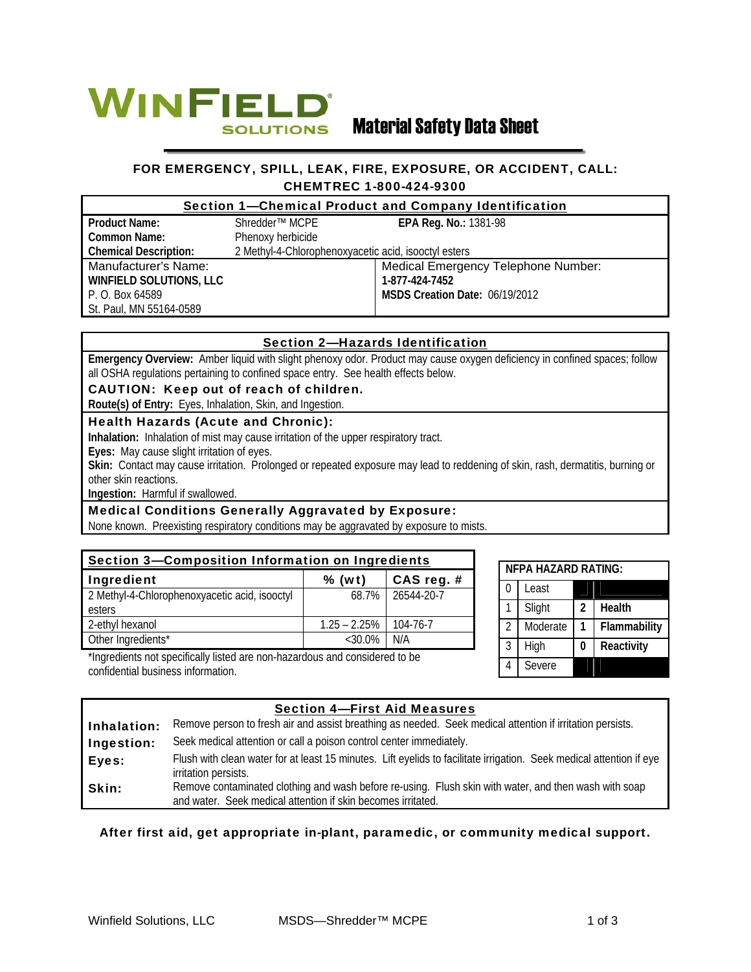

# Material Safety Data Sheet

# FOR EMERGENCY, SPILL, LEAK, FIRE, EXPOSURE, OR ACCIDENT, CALL: CHEMTREC 1-800-424-9300

| Section 1-Chemical Product and Company Identification |                                                      |                                     |  |  |  |
|-------------------------------------------------------|------------------------------------------------------|-------------------------------------|--|--|--|
| <b>Product Name:</b>                                  | Shredder <sup>™</sup> MCPE                           | <b>EPA Reg. No.: 1381-98</b>        |  |  |  |
| <b>Common Name:</b>                                   | Phenoxy herbicide                                    |                                     |  |  |  |
| <b>Chemical Description:</b>                          | 2 Methyl-4-Chlorophenoxyacetic acid, isooctyl esters |                                     |  |  |  |
| Manufacturer's Name:                                  |                                                      | Medical Emergency Telephone Number: |  |  |  |
| <b>WINFIELD SOLUTIONS, LLC</b>                        |                                                      | 1-877-424-7452                      |  |  |  |
| P. O. Box 64589                                       |                                                      | MSDS Creation Date: 06/19/2012      |  |  |  |
| St. Paul, MN 55164-0589                               |                                                      |                                     |  |  |  |

# Section 2—Hazards Identification

**Emergency Overview:** Amber liquid with slight phenoxy odor. Product may cause oxygen deficiency in confined spaces; follow all OSHA regulations pertaining to confined space entry. See health effects below.

#### CAUTION: Keep out of reach of children.

**Route(s) of Entry:** Eyes, Inhalation, Skin, and Ingestion.

### Health Hazards (Acute and Chronic):

**Inhalation:** Inhalation of mist may cause irritation of the upper respiratory tract.

**Eyes:** May cause slight irritation of eyes.

Skin: Contact may cause irritation. Prolonged or repeated exposure may lead to reddening of skin, rash, dermatitis, burning or other skin reactions.

**Ingestion:** Harmful if swallowed.

#### Medical Conditions Generally Aggravated by Exposure:

None known. Preexisting respiratory conditions may be aggravated by exposure to mists.

| Section 3-Composition Information on Ingredients |                 |                  |  |  |  |
|--------------------------------------------------|-----------------|------------------|--|--|--|
| Ingredient                                       | $%$ (wt)        | CAS reg. $#$     |  |  |  |
| 2 Methyl-4-Chlorophenoxyacetic acid, isooctyl    |                 | 68.7% 26544-20-7 |  |  |  |
| esters                                           |                 |                  |  |  |  |
| 2-ethyl hexanol                                  | $1.25 - 2.25\%$ | 104-76-7         |  |  |  |
| Other Ingredients*                               | $<30.0\%$       | N/A              |  |  |  |

| NFPA HA7ARD RATING: |          |   |              |  |  |  |  |
|---------------------|----------|---|--------------|--|--|--|--|
| O                   | Least    |   |              |  |  |  |  |
|                     | Slight   | 2 | Health       |  |  |  |  |
| $\mathfrak{D}$      | Moderate | 1 | Flammability |  |  |  |  |
| 3                   | High     | 0 | Reactivity   |  |  |  |  |
| 4                   | Severe   |   |              |  |  |  |  |

\*Ingredients not specifically listed are non-hazardous and considered to be confidential business information.

# Section 4—First Aid Measures

| Inhalation: | Remove person to fresh air and assist breathing as needed. Seek medical attention if irritation persists.                                                             |  |  |  |
|-------------|-----------------------------------------------------------------------------------------------------------------------------------------------------------------------|--|--|--|
| Ingestion:  | Seek medical attention or call a poison control center immediately.                                                                                                   |  |  |  |
| Eyes:       | Flush with clean water for at least 15 minutes. Lift eyelids to facilitate irrigation. Seek medical attention if eye<br>irritation persists.                          |  |  |  |
| Skin:       | Remove contaminated clothing and wash before re-using. Flush skin with water, and then wash with soap<br>and water. Seek medical attention if skin becomes irritated. |  |  |  |

### After first aid, get appropriate in-plant, paramedic, or community medical support.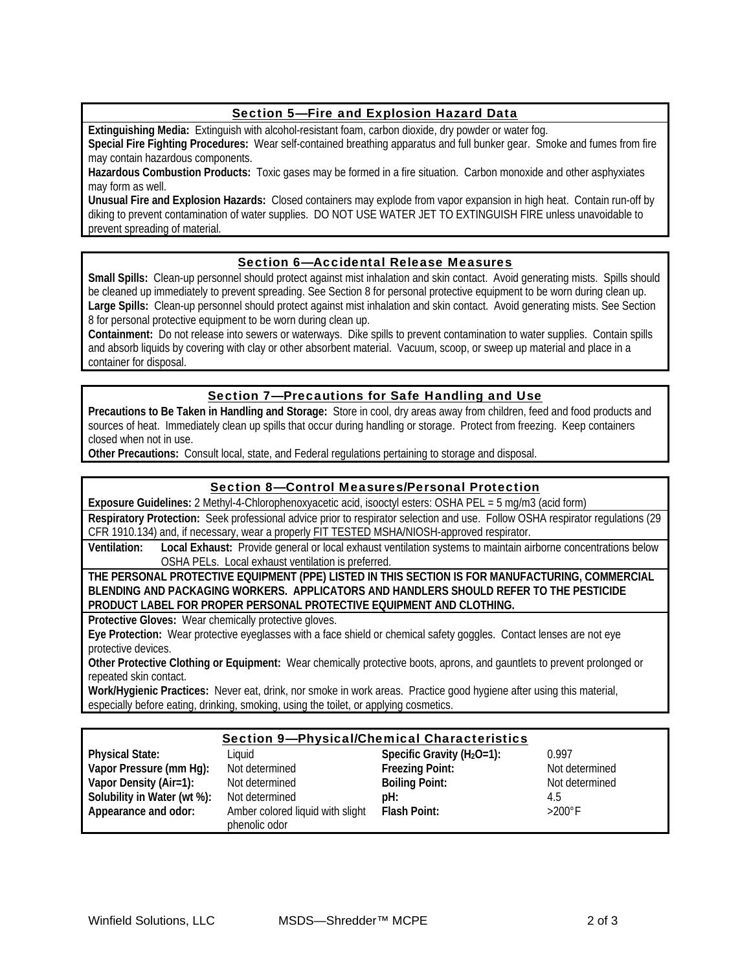# Section 5—Fire and Explosion Hazard Data

**Extinguishing Media:** Extinguish with alcohol-resistant foam, carbon dioxide, dry powder or water fog.

**Special Fire Fighting Procedures:** Wear self-contained breathing apparatus and full bunker gear. Smoke and fumes from fire may contain hazardous components.

**Hazardous Combustion Products:** Toxic gases may be formed in a fire situation. Carbon monoxide and other asphyxiates may form as well.

**Unusual Fire and Explosion Hazards:** Closed containers may explode from vapor expansion in high heat. Contain run-off by diking to prevent contamination of water supplies. DO NOT USE WATER JET TO EXTINGUISH FIRE unless unavoidable to prevent spreading of material.

#### Section 6—Accidental Release Measures

**Small Spills:** Clean-up personnel should protect against mist inhalation and skin contact. Avoid generating mists. Spills should be cleaned up immediately to prevent spreading. See Section 8 for personal protective equipment to be worn during clean up. Large Spills: Clean-up personnel should protect against mist inhalation and skin contact. Avoid generating mists. See Section 8 for personal protective equipment to be worn during clean up.

**Containment:** Do not release into sewers or waterways. Dike spills to prevent contamination to water supplies. Contain spills and absorb liquids by covering with clay or other absorbent material. Vacuum, scoop, or sweep up material and place in a container for disposal.

### Section 7—Precautions for Safe Handling and Use

**Precautions to Be Taken in Handling and Storage:** Store in cool, dry areas away from children, feed and food products and sources of heat. Immediately clean up spills that occur during handling or storage. Protect from freezing. Keep containers closed when not in use.

**Other Precautions:** Consult local, state, and Federal regulations pertaining to storage and disposal.

#### Section 8—Control Measures/Personal Protection

**Exposure Guidelines:** 2 Methyl-4-Chlorophenoxyacetic acid, isooctyl esters: OSHA PEL = 5 mg/m3 (acid form) **Respiratory Protection:** Seek professional advice prior to respirator selection and use. Follow OSHA respirator regulations (29

CFR 1910.134) and, if necessary, wear a properly FIT TESTED MSHA/NIOSH-approved respirator.

**Ventilation: Local Exhaust:** Provide general or local exhaust ventilation systems to maintain airborne concentrations below OSHA PELs. Local exhaust ventilation is preferred.

**THE PERSONAL PROTECTIVE EQUIPMENT (PPE) LISTED IN THIS SECTION IS FOR MANUFACTURING, COMMERCIAL BLENDING AND PACKAGING WORKERS. APPLICATORS AND HANDLERS SHOULD REFER TO THE PESTICIDE PRODUCT LABEL FOR PROPER PERSONAL PROTECTIVE EQUIPMENT AND CLOTHING.**

**Protective Gloves:** Wear chemically protective gloves.

**Eye Protection:** Wear protective eyeglasses with a face shield or chemical safety goggles. Contact lenses are not eye protective devices.

**Other Protective Clothing or Equipment:** Wear chemically protective boots, aprons, and gauntlets to prevent prolonged or repeated skin contact.

**Work/Hygienic Practices:** Never eat, drink, nor smoke in work areas. Practice good hygiene after using this material, especially before eating, drinking, smoking, using the toilet, or applying cosmetics.

#### Section 9—Physical/Chemical Characteristics **Physical State:** Liquid **Specific Gravity (H2O=1):** 0.997 **Vapor Pressure (mm Hg):** Not determined **Freezing Point:** Not determined **Vapor Density (Air=1):** Not determined **Boiling Point:** Not determined **Solubility in Water (wt %):** Not determined **pH:** 4.5 **Appearance and odor:** Amber colored liquid with slight phenolic odor **Flash Point:** >200°F